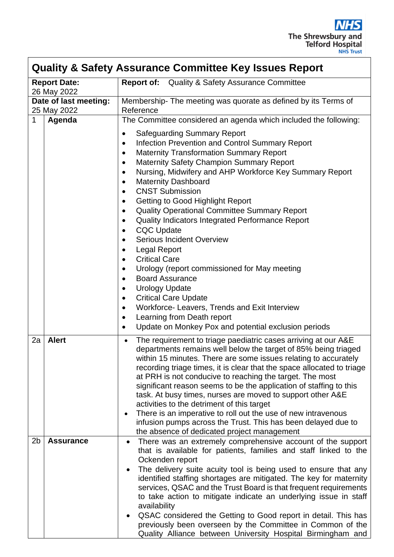

| <b>Quality &amp; Safety Assurance Committee Key Issues Report</b> |                  |                                                                                                                                                                                                                                                                                                                                                                                                                                                                                                                                                                                                                                                                                                                                                                                                                                                                                                                                         |  |  |  |  |  |
|-------------------------------------------------------------------|------------------|-----------------------------------------------------------------------------------------------------------------------------------------------------------------------------------------------------------------------------------------------------------------------------------------------------------------------------------------------------------------------------------------------------------------------------------------------------------------------------------------------------------------------------------------------------------------------------------------------------------------------------------------------------------------------------------------------------------------------------------------------------------------------------------------------------------------------------------------------------------------------------------------------------------------------------------------|--|--|--|--|--|
| <b>Report Date:</b><br>26 May 2022                                |                  | <b>Report of:</b><br><b>Quality &amp; Safety Assurance Committee</b>                                                                                                                                                                                                                                                                                                                                                                                                                                                                                                                                                                                                                                                                                                                                                                                                                                                                    |  |  |  |  |  |
| Date of last meeting:<br>25 May 2022                              |                  | Membership- The meeting was quorate as defined by its Terms of<br>Reference                                                                                                                                                                                                                                                                                                                                                                                                                                                                                                                                                                                                                                                                                                                                                                                                                                                             |  |  |  |  |  |
| $\mathbf 1$                                                       | Agenda           | The Committee considered an agenda which included the following:                                                                                                                                                                                                                                                                                                                                                                                                                                                                                                                                                                                                                                                                                                                                                                                                                                                                        |  |  |  |  |  |
|                                                                   |                  | <b>Safeguarding Summary Report</b><br>$\bullet$<br>Infection Prevention and Control Summary Report<br><b>Maternity Transformation Summary Report</b><br><b>Maternity Safety Champion Summary Report</b><br>$\bullet$<br>Nursing, Midwifery and AHP Workforce Key Summary Report<br>$\bullet$<br><b>Maternity Dashboard</b><br>$\bullet$<br><b>CNST Submission</b><br>Getting to Good Highlight Report<br>$\bullet$<br>Quality Operational Committee Summary Report<br>٠<br>Quality Indicators Integrated Performance Report<br><b>CQC Update</b><br><b>Serious Incident Overview</b><br><b>Legal Report</b><br>$\bullet$<br><b>Critical Care</b><br>Urology (report commissioned for May meeting<br>٠<br><b>Board Assurance</b><br>$\bullet$<br><b>Urology Update</b><br>$\bullet$<br><b>Critical Care Update</b><br>$\bullet$<br>Workforce- Leavers, Trends and Exit Interview<br>$\bullet$<br>Learning from Death report<br>$\bullet$ |  |  |  |  |  |
|                                                                   |                  | Update on Monkey Pox and potential exclusion periods<br>$\bullet$                                                                                                                                                                                                                                                                                                                                                                                                                                                                                                                                                                                                                                                                                                                                                                                                                                                                       |  |  |  |  |  |
| 2a                                                                | <b>Alert</b>     | The requirement to triage paediatric cases arriving at our A&E<br>$\bullet$<br>departments remains well below the target of 85% being triaged<br>within 15 minutes. There are some issues relating to accurately<br>recording triage times, it is clear that the space allocated to triage<br>at PRH is not conducive to reaching the target. The most<br>significant reason seems to be the application of staffing to this<br>task. At busy times, nurses are moved to support other A&E<br>activities to the detriment of this target<br>There is an imperative to roll out the use of new intravenous<br>٠<br>infusion pumps across the Trust. This has been delayed due to<br>the absence of dedicated project management                                                                                                                                                                                                          |  |  |  |  |  |
| 2 <sub>b</sub>                                                    | <b>Assurance</b> | There was an extremely comprehensive account of the support<br>$\bullet$<br>that is available for patients, families and staff linked to the<br>Ockenden report<br>The delivery suite acuity tool is being used to ensure that any<br>identified staffing shortages are mitigated. The key for maternity<br>services, QSAC and the Trust Board is that frequent requirements<br>to take action to mitigate indicate an underlying issue in staff<br>availability<br>QSAC considered the Getting to Good report in detail. This has<br>previously been overseen by the Committee in Common of the<br>Quality Alliance between University Hospital Birmingham and                                                                                                                                                                                                                                                                         |  |  |  |  |  |

 $\overline{\phantom{a}}$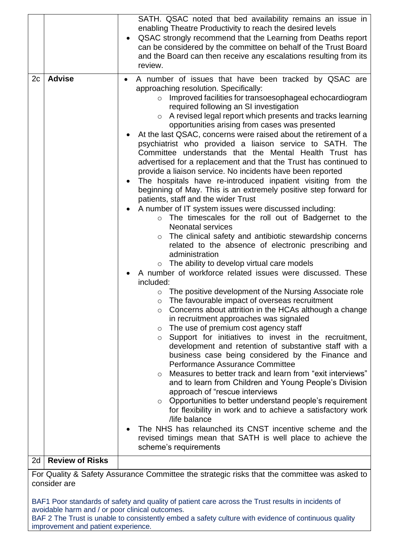|    |                                                                                                              | SATH. QSAC noted that bed availability remains an issue in<br>enabling Theatre Productivity to reach the desired levels<br>QSAC strongly recommend that the Learning from Deaths report<br>can be considered by the committee on behalf of the Trust Board<br>and the Board can then receive any escalations resulting from its<br>review.                                                                                                                                                                                                                                                                                                                                                                                                                                                                                                                                                                                                                                                                                                                                                                                                                                                                                                                                                                                                                                                                                                                                                                                                                                                                                                                                                                                                                                                                                                                                                                                                                                                                                                                                                                                                                                                                                                                                      |  |  |  |  |  |
|----|--------------------------------------------------------------------------------------------------------------|---------------------------------------------------------------------------------------------------------------------------------------------------------------------------------------------------------------------------------------------------------------------------------------------------------------------------------------------------------------------------------------------------------------------------------------------------------------------------------------------------------------------------------------------------------------------------------------------------------------------------------------------------------------------------------------------------------------------------------------------------------------------------------------------------------------------------------------------------------------------------------------------------------------------------------------------------------------------------------------------------------------------------------------------------------------------------------------------------------------------------------------------------------------------------------------------------------------------------------------------------------------------------------------------------------------------------------------------------------------------------------------------------------------------------------------------------------------------------------------------------------------------------------------------------------------------------------------------------------------------------------------------------------------------------------------------------------------------------------------------------------------------------------------------------------------------------------------------------------------------------------------------------------------------------------------------------------------------------------------------------------------------------------------------------------------------------------------------------------------------------------------------------------------------------------------------------------------------------------------------------------------------------------|--|--|--|--|--|
| 2c | <b>Advise</b>                                                                                                | A number of issues that have been tracked by QSAC are<br>٠<br>approaching resolution. Specifically:<br>Improved facilities for transoesophageal echocardiogram<br>$\circ$<br>required following an SI investigation<br>A revised legal report which presents and tracks learning<br>$\circ$<br>opportunities arising from cases was presented<br>At the last QSAC, concerns were raised about the retirement of a<br>psychiatrist who provided a liaison service to SATH. The<br>Committee understands that the Mental Health Trust has<br>advertised for a replacement and that the Trust has continued to<br>provide a liaison service. No incidents have been reported<br>The hospitals have re-introduced inpatient visiting from the<br>beginning of May. This is an extremely positive step forward for<br>patients, staff and the wider Trust<br>A number of IT system issues were discussed including:<br>o The timescales for the roll out of Badgernet to the<br><b>Neonatal services</b><br>The clinical safety and antibiotic stewardship concerns<br>$\circ$<br>related to the absence of electronic prescribing and<br>administration<br>$\circ$ The ability to develop virtual care models<br>A number of workforce related issues were discussed. These<br>included:<br>The positive development of the Nursing Associate role<br>$\circ$<br>The favourable impact of overseas recruitment<br>$\circ$<br>Concerns about attrition in the HCAs although a change<br>$\circ$<br>in recruitment approaches was signaled<br>The use of premium cost agency staff<br>$\circ$<br>Support for initiatives to invest in the recruitment,<br>$\circ$<br>development and retention of substantive staff with a<br>business case being considered by the Finance and<br>Performance Assurance Committee<br>Measures to better track and learn from "exit interviews"<br>$\circ$<br>and to learn from Children and Young People's Division<br>approach of "rescue interviews<br>o Opportunities to better understand people's requirement<br>for flexibility in work and to achieve a satisfactory work<br>life balance<br>The NHS has relaunched its CNST incentive scheme and the<br>revised timings mean that SATH is well place to achieve the<br>scheme's requirements |  |  |  |  |  |
| 2d | <b>Review of Risks</b>                                                                                       |                                                                                                                                                                                                                                                                                                                                                                                                                                                                                                                                                                                                                                                                                                                                                                                                                                                                                                                                                                                                                                                                                                                                                                                                                                                                                                                                                                                                                                                                                                                                                                                                                                                                                                                                                                                                                                                                                                                                                                                                                                                                                                                                                                                                                                                                                 |  |  |  |  |  |
|    | For Quality & Safety Assurance Committee the strategic risks that the committee was asked to<br>consider are |                                                                                                                                                                                                                                                                                                                                                                                                                                                                                                                                                                                                                                                                                                                                                                                                                                                                                                                                                                                                                                                                                                                                                                                                                                                                                                                                                                                                                                                                                                                                                                                                                                                                                                                                                                                                                                                                                                                                                                                                                                                                                                                                                                                                                                                                                 |  |  |  |  |  |

BAF1 Poor standards of safety and quality of patient care across the Trust results in incidents of avoidable harm and / or poor clinical outcomes. BAF 2 The Trust is unable to consistently embed a safety culture with evidence of continuous quality improvement and patient experience.